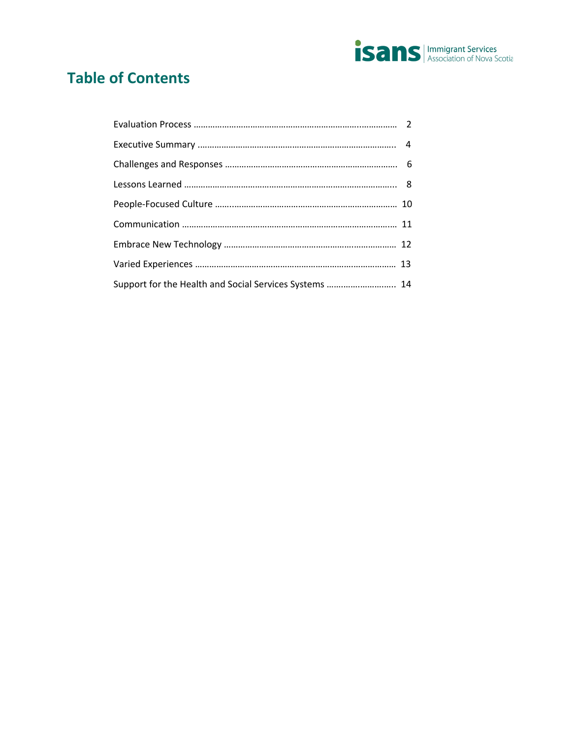

# **Table of Contents**

| Support for the Health and Social Services Systems  14 |  |
|--------------------------------------------------------|--|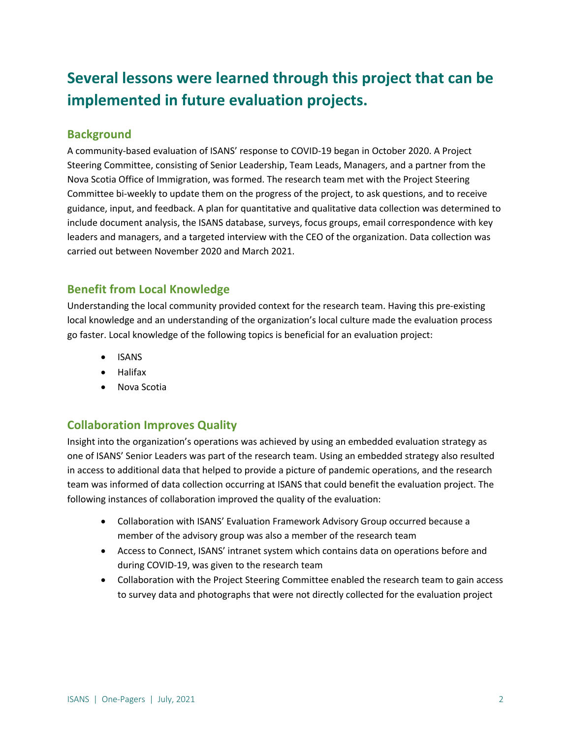# **Several lessons were learned through this project that can be implemented in future evaluation projects.**

# **Background**

A community-based evaluation of ISANS' response to COVID-19 began in October 2020. A Project Steering Committee, consisting of Senior Leadership, Team Leads, Managers, and a partner from the Nova Scotia Office of Immigration, was formed. The research team met with the Project Steering Committee bi-weekly to update them on the progress of the project, to ask questions, and to receive guidance, input, and feedback. A plan for quantitative and qualitative data collection was determined to include document analysis, the ISANS database, surveys, focus groups, email correspondence with key leaders and managers, and a targeted interview with the CEO of the organization. Data collection was carried out between November 2020 and March 2021.

# **Benefit from Local Knowledge**

Understanding the local community provided context for the research team. Having this pre-existing local knowledge and an understanding of the organization's local culture made the evaluation process go faster. Local knowledge of the following topics is beneficial for an evaluation project:

- ISANS
- Halifax
- Nova Scotia

# **Collaboration Improves Quality**

Insight into the organization's operations was achieved by using an embedded evaluation strategy as one of ISANS' Senior Leaders was part of the research team. Using an embedded strategy also resulted in access to additional data that helped to provide a picture of pandemic operations, and the research team was informed of data collection occurring at ISANS that could benefit the evaluation project. The following instances of collaboration improved the quality of the evaluation:

- Collaboration with ISANS' Evaluation Framework Advisory Group occurred because a member of the advisory group was also a member of the research team
- Access to Connect, ISANS' intranet system which contains data on operations before and during COVID-19, was given to the research team
- Collaboration with the Project Steering Committee enabled the research team to gain access to survey data and photographs that were not directly collected for the evaluation project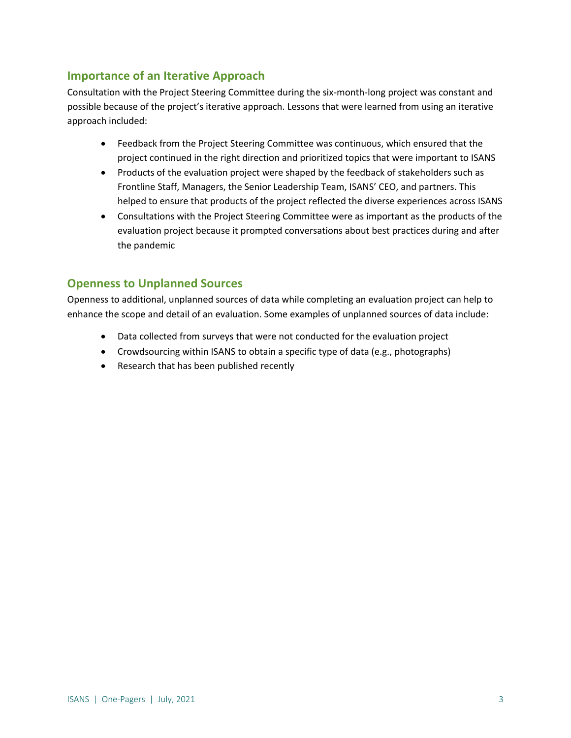# **Importance of an Iterative Approach**

Consultation with the Project Steering Committee during the six-month-long project was constant and possible because of the project's iterative approach. Lessons that were learned from using an iterative approach included:

- Feedback from the Project Steering Committee was continuous, which ensured that the project continued in the right direction and prioritized topics that were important to ISANS
- Products of the evaluation project were shaped by the feedback of stakeholders such as Frontline Staff, Managers, the Senior Leadership Team, ISANS' CEO, and partners. This helped to ensure that products of the project reflected the diverse experiences across ISANS
- Consultations with the Project Steering Committee were as important as the products of the evaluation project because it prompted conversations about best practices during and after the pandemic

# **Openness to Unplanned Sources**

Openness to additional, unplanned sources of data while completing an evaluation project can help to enhance the scope and detail of an evaluation. Some examples of unplanned sources of data include:

- Data collected from surveys that were not conducted for the evaluation project
- Crowdsourcing within ISANS to obtain a specific type of data (e.g., photographs)
- Research that has been published recently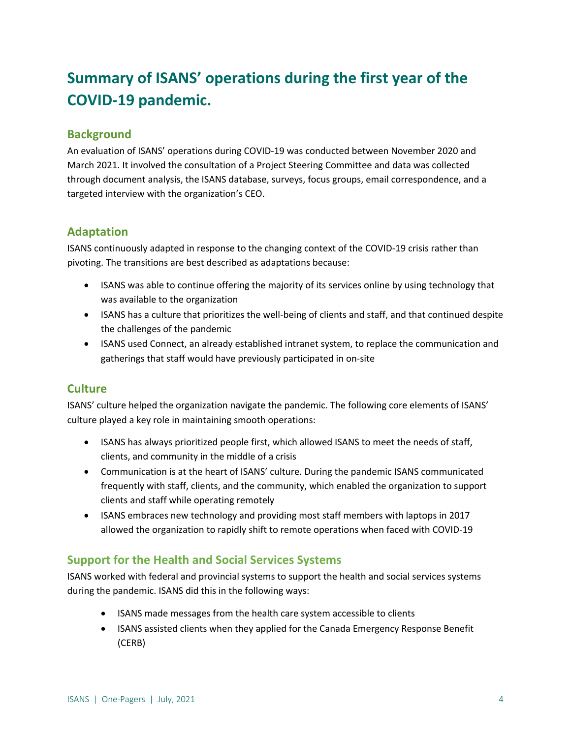# **Summary of ISANS' operations during the first year of the COVID-19 pandemic.**

# **Background**

An evaluation of ISANS' operations during COVID-19 was conducted between November 2020 and March 2021. It involved the consultation of a Project Steering Committee and data was collected through document analysis, the ISANS database, surveys, focus groups, email correspondence, and a targeted interview with the organization's CEO.

# **Adaptation**

ISANS continuously adapted in response to the changing context of the COVID-19 crisis rather than pivoting. The transitions are best described as adaptations because:

- ISANS was able to continue offering the majority of its services online by using technology that was available to the organization
- ISANS has a culture that prioritizes the well-being of clients and staff, and that continued despite the challenges of the pandemic
- ISANS used Connect, an already established intranet system, to replace the communication and gatherings that staff would have previously participated in on-site

# **Culture**

ISANS' culture helped the organization navigate the pandemic. The following core elements of ISANS' culture played a key role in maintaining smooth operations:

- ISANS has always prioritized people first, which allowed ISANS to meet the needs of staff, clients, and community in the middle of a crisis
- Communication is at the heart of ISANS' culture. During the pandemic ISANS communicated frequently with staff, clients, and the community, which enabled the organization to support clients and staff while operating remotely
- ISANS embraces new technology and providing most staff members with laptops in 2017 allowed the organization to rapidly shift to remote operations when faced with COVID-19

# **Support for the Health and Social Services Systems**

ISANS worked with federal and provincial systems to support the health and social services systems during the pandemic. ISANS did this in the following ways:

- ISANS made messages from the health care system accessible to clients
- ISANS assisted clients when they applied for the Canada Emergency Response Benefit (CERB)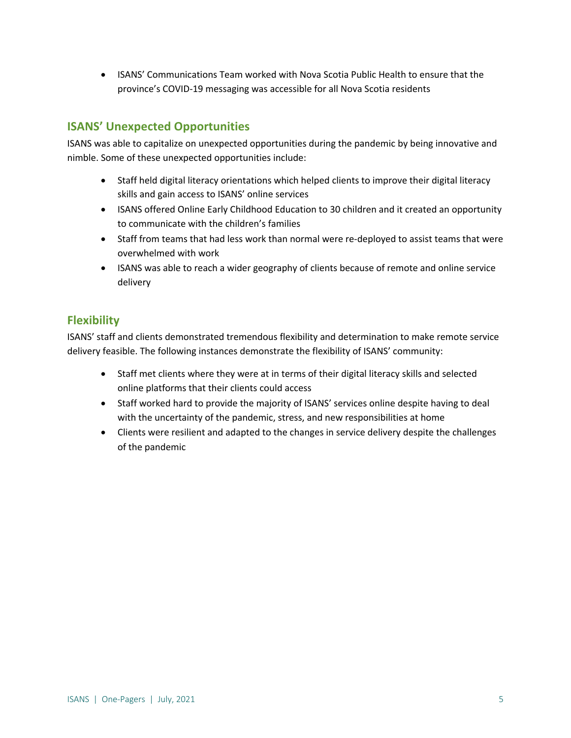• ISANS' Communications Team worked with Nova Scotia Public Health to ensure that the province's COVID-19 messaging was accessible for all Nova Scotia residents

# **ISANS' Unexpected Opportunities**

ISANS was able to capitalize on unexpected opportunities during the pandemic by being innovative and nimble. Some of these unexpected opportunities include:

- Staff held digital literacy orientations which helped clients to improve their digital literacy skills and gain access to ISANS' online services
- ISANS offered Online Early Childhood Education to 30 children and it created an opportunity to communicate with the children's families
- Staff from teams that had less work than normal were re-deployed to assist teams that were overwhelmed with work
- ISANS was able to reach a wider geography of clients because of remote and online service delivery

## **Flexibility**

ISANS' staff and clients demonstrated tremendous flexibility and determination to make remote service delivery feasible. The following instances demonstrate the flexibility of ISANS' community:

- Staff met clients where they were at in terms of their digital literacy skills and selected online platforms that their clients could access
- Staff worked hard to provide the majority of ISANS' services online despite having to deal with the uncertainty of the pandemic, stress, and new responsibilities at home
- Clients were resilient and adapted to the changes in service delivery despite the challenges of the pandemic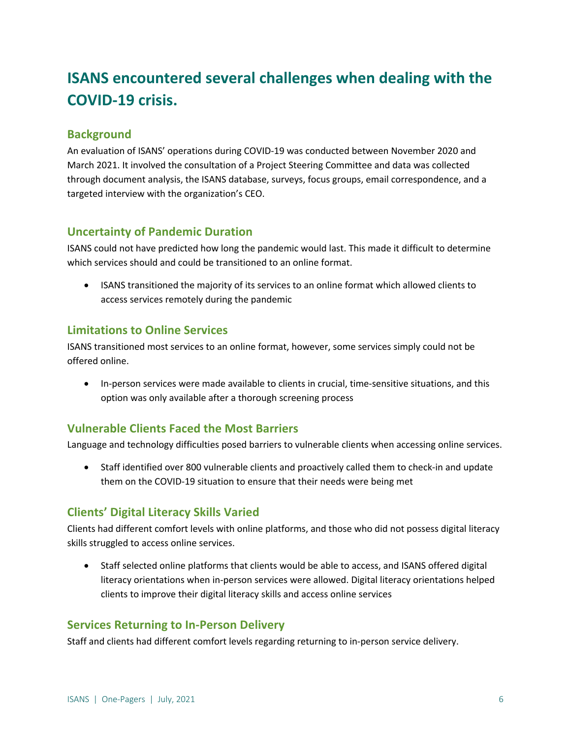# **ISANS encountered several challenges when dealing with the COVID-19 crisis.**

# **Background**

An evaluation of ISANS' operations during COVID-19 was conducted between November 2020 and March 2021. It involved the consultation of a Project Steering Committee and data was collected through document analysis, the ISANS database, surveys, focus groups, email correspondence, and a targeted interview with the organization's CEO.

## **Uncertainty of Pandemic Duration**

ISANS could not have predicted how long the pandemic would last. This made it difficult to determine which services should and could be transitioned to an online format.

• ISANS transitioned the majority of its services to an online format which allowed clients to access services remotely during the pandemic

## **Limitations to Online Services**

ISANS transitioned most services to an online format, however, some services simply could not be offered online.

• In-person services were made available to clients in crucial, time-sensitive situations, and this option was only available after a thorough screening process

# **Vulnerable Clients Faced the Most Barriers**

Language and technology difficulties posed barriers to vulnerable clients when accessing online services.

• Staff identified over 800 vulnerable clients and proactively called them to check-in and update them on the COVID-19 situation to ensure that their needs were being met

# **Clients' Digital Literacy Skills Varied**

Clients had different comfort levels with online platforms, and those who did not possess digital literacy skills struggled to access online services.

• Staff selected online platforms that clients would be able to access, and ISANS offered digital literacy orientations when in-person services were allowed. Digital literacy orientations helped clients to improve their digital literacy skills and access online services

### **Services Returning to In-Person Delivery**

Staff and clients had different comfort levels regarding returning to in-person service delivery.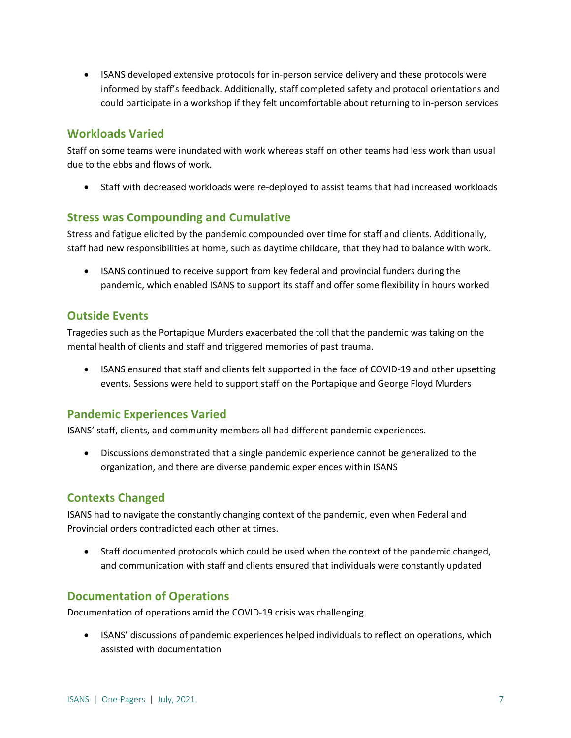• ISANS developed extensive protocols for in-person service delivery and these protocols were informed by staff's feedback. Additionally, staff completed safety and protocol orientations and could participate in a workshop if they felt uncomfortable about returning to in-person services

### **Workloads Varied**

Staff on some teams were inundated with work whereas staff on other teams had less work than usual due to the ebbs and flows of work.

• Staff with decreased workloads were re-deployed to assist teams that had increased workloads

### **Stress was Compounding and Cumulative**

Stress and fatigue elicited by the pandemic compounded over time for staff and clients. Additionally, staff had new responsibilities at home, such as daytime childcare, that they had to balance with work.

• ISANS continued to receive support from key federal and provincial funders during the pandemic, which enabled ISANS to support its staff and offer some flexibility in hours worked

## **Outside Events**

Tragedies such as the Portapique Murders exacerbated the toll that the pandemic was taking on the mental health of clients and staff and triggered memories of past trauma.

• ISANS ensured that staff and clients felt supported in the face of COVID-19 and other upsetting events. Sessions were held to support staff on the Portapique and George Floyd Murders

# **Pandemic Experiences Varied**

ISANS' staff, clients, and community members all had different pandemic experiences.

• Discussions demonstrated that a single pandemic experience cannot be generalized to the organization, and there are diverse pandemic experiences within ISANS

# **Contexts Changed**

ISANS had to navigate the constantly changing context of the pandemic, even when Federal and Provincial orders contradicted each other at times.

• Staff documented protocols which could be used when the context of the pandemic changed, and communication with staff and clients ensured that individuals were constantly updated

# **Documentation of Operations**

Documentation of operations amid the COVID-19 crisis was challenging.

• ISANS' discussions of pandemic experiences helped individuals to reflect on operations, which assisted with documentation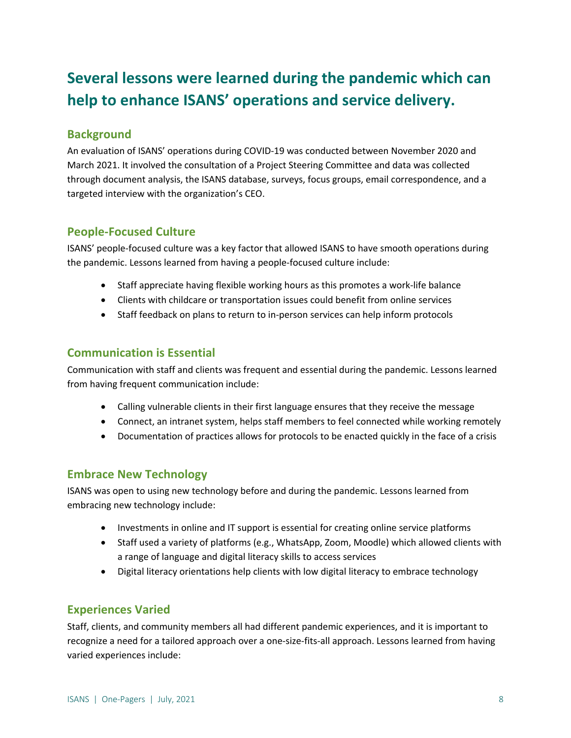# **Several lessons were learned during the pandemic which can help to enhance ISANS' operations and service delivery.**

# **Background**

An evaluation of ISANS' operations during COVID-19 was conducted between November 2020 and March 2021. It involved the consultation of a Project Steering Committee and data was collected through document analysis, the ISANS database, surveys, focus groups, email correspondence, and a targeted interview with the organization's CEO.

# **People-Focused Culture**

ISANS' people-focused culture was a key factor that allowed ISANS to have smooth operations during the pandemic. Lessons learned from having a people-focused culture include:

- Staff appreciate having flexible working hours as this promotes a work-life balance
- Clients with childcare or transportation issues could benefit from online services
- Staff feedback on plans to return to in-person services can help inform protocols

# **Communication is Essential**

Communication with staff and clients was frequent and essential during the pandemic. Lessons learned from having frequent communication include:

- Calling vulnerable clients in their first language ensures that they receive the message
- Connect, an intranet system, helps staff members to feel connected while working remotely
- Documentation of practices allows for protocols to be enacted quickly in the face of a crisis

# **Embrace New Technology**

ISANS was open to using new technology before and during the pandemic. Lessons learned from embracing new technology include:

- Investments in online and IT support is essential for creating online service platforms
- Staff used a variety of platforms (e.g., WhatsApp, Zoom, Moodle) which allowed clients with a range of language and digital literacy skills to access services
- Digital literacy orientations help clients with low digital literacy to embrace technology

# **Experiences Varied**

Staff, clients, and community members all had different pandemic experiences, and it is important to recognize a need for a tailored approach over a one-size-fits-all approach. Lessons learned from having varied experiences include: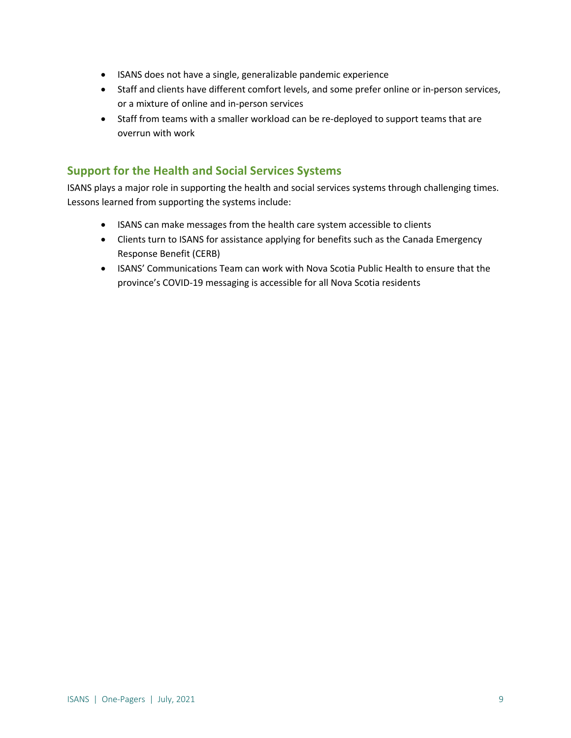- ISANS does not have a single, generalizable pandemic experience
- Staff and clients have different comfort levels, and some prefer online or in-person services, or a mixture of online and in-person services
- Staff from teams with a smaller workload can be re-deployed to support teams that are overrun with work

## **Support for the Health and Social Services Systems**

ISANS plays a major role in supporting the health and social services systems through challenging times. Lessons learned from supporting the systems include:

- ISANS can make messages from the health care system accessible to clients
- Clients turn to ISANS for assistance applying for benefits such as the Canada Emergency Response Benefit (CERB)
- ISANS' Communications Team can work with Nova Scotia Public Health to ensure that the province's COVID-19 messaging is accessible for all Nova Scotia residents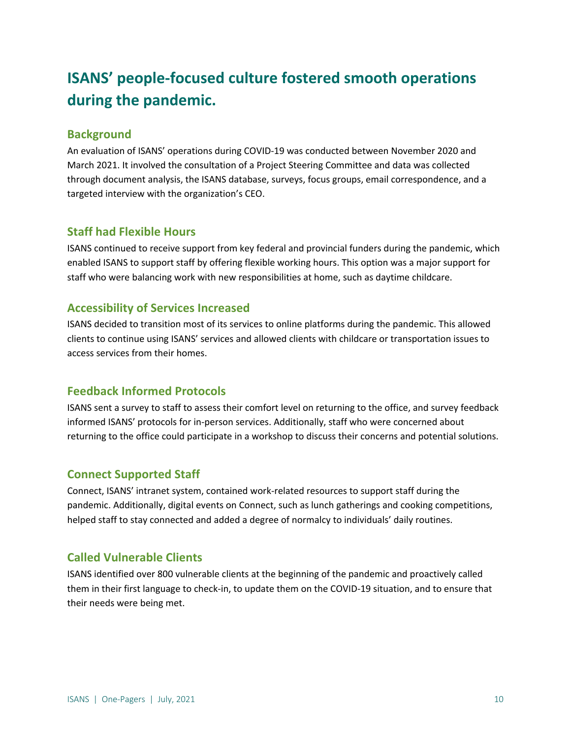# **ISANS' people-focused culture fostered smooth operations during the pandemic.**

## **Background**

An evaluation of ISANS' operations during COVID-19 was conducted between November 2020 and March 2021. It involved the consultation of a Project Steering Committee and data was collected through document analysis, the ISANS database, surveys, focus groups, email correspondence, and a targeted interview with the organization's CEO.

## **Staff had Flexible Hours**

ISANS continued to receive support from key federal and provincial funders during the pandemic, which enabled ISANS to support staff by offering flexible working hours. This option was a major support for staff who were balancing work with new responsibilities at home, such as daytime childcare.

## **Accessibility of Services Increased**

ISANS decided to transition most of its services to online platforms during the pandemic. This allowed clients to continue using ISANS' services and allowed clients with childcare or transportation issues to access services from their homes.

# **Feedback Informed Protocols**

ISANS sent a survey to staff to assess their comfort level on returning to the office, and survey feedback informed ISANS' protocols for in-person services. Additionally, staff who were concerned about returning to the office could participate in a workshop to discuss their concerns and potential solutions.

### **Connect Supported Staff**

Connect, ISANS' intranet system, contained work-related resources to support staff during the pandemic. Additionally, digital events on Connect, such as lunch gatherings and cooking competitions, helped staff to stay connected and added a degree of normalcy to individuals' daily routines.

# **Called Vulnerable Clients**

ISANS identified over 800 vulnerable clients at the beginning of the pandemic and proactively called them in their first language to check-in, to update them on the COVID-19 situation, and to ensure that their needs were being met.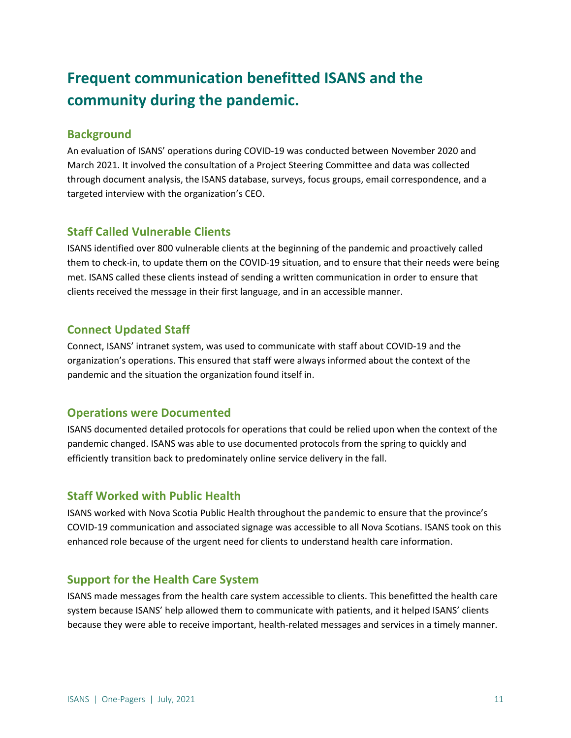# **Frequent communication benefitted ISANS and the community during the pandemic.**

## **Background**

An evaluation of ISANS' operations during COVID-19 was conducted between November 2020 and March 2021. It involved the consultation of a Project Steering Committee and data was collected through document analysis, the ISANS database, surveys, focus groups, email correspondence, and a targeted interview with the organization's CEO.

## **Staff Called Vulnerable Clients**

ISANS identified over 800 vulnerable clients at the beginning of the pandemic and proactively called them to check-in, to update them on the COVID-19 situation, and to ensure that their needs were being met. ISANS called these clients instead of sending a written communication in order to ensure that clients received the message in their first language, and in an accessible manner.

# **Connect Updated Staff**

Connect, ISANS' intranet system, was used to communicate with staff about COVID-19 and the organization's operations. This ensured that staff were always informed about the context of the pandemic and the situation the organization found itself in.

### **Operations were Documented**

ISANS documented detailed protocols for operations that could be relied upon when the context of the pandemic changed. ISANS was able to use documented protocols from the spring to quickly and efficiently transition back to predominately online service delivery in the fall.

# **Staff Worked with Public Health**

ISANS worked with Nova Scotia Public Health throughout the pandemic to ensure that the province's COVID-19 communication and associated signage was accessible to all Nova Scotians. ISANS took on this enhanced role because of the urgent need for clients to understand health care information.

# **Support for the Health Care System**

ISANS made messages from the health care system accessible to clients. This benefitted the health care system because ISANS' help allowed them to communicate with patients, and it helped ISANS' clients because they were able to receive important, health-related messages and services in a timely manner.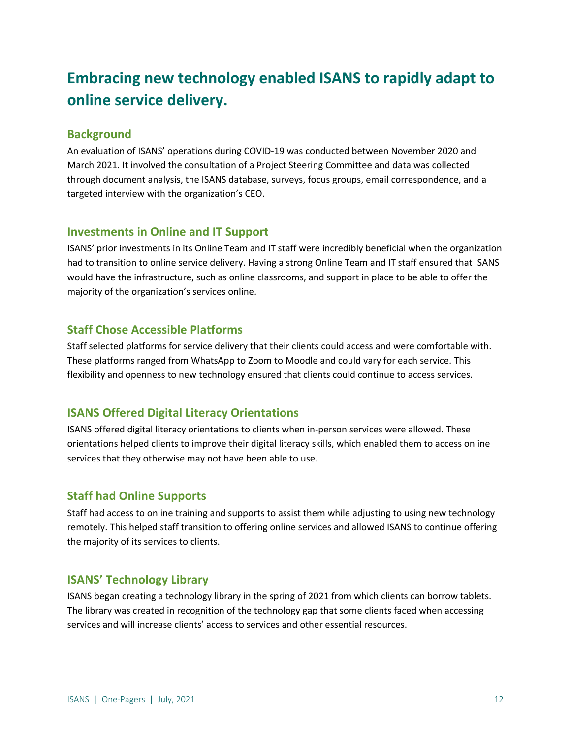# **Embracing new technology enabled ISANS to rapidly adapt to online service delivery.**

#### **Background**

An evaluation of ISANS' operations during COVID-19 was conducted between November 2020 and March 2021. It involved the consultation of a Project Steering Committee and data was collected through document analysis, the ISANS database, surveys, focus groups, email correspondence, and a targeted interview with the organization's CEO.

#### **Investments in Online and IT Support**

ISANS' prior investments in its Online Team and IT staff were incredibly beneficial when the organization had to transition to online service delivery. Having a strong Online Team and IT staff ensured that ISANS would have the infrastructure, such as online classrooms, and support in place to be able to offer the majority of the organization's services online.

### **Staff Chose Accessible Platforms**

Staff selected platforms for service delivery that their clients could access and were comfortable with. These platforms ranged from WhatsApp to Zoom to Moodle and could vary for each service. This flexibility and openness to new technology ensured that clients could continue to access services.

### **ISANS Offered Digital Literacy Orientations**

ISANS offered digital literacy orientations to clients when in-person services were allowed. These orientations helped clients to improve their digital literacy skills, which enabled them to access online services that they otherwise may not have been able to use.

### **Staff had Online Supports**

Staff had access to online training and supports to assist them while adjusting to using new technology remotely. This helped staff transition to offering online services and allowed ISANS to continue offering the majority of its services to clients.

#### **ISANS' Technology Library**

ISANS began creating a technology library in the spring of 2021 from which clients can borrow tablets. The library was created in recognition of the technology gap that some clients faced when accessing services and will increase clients' access to services and other essential resources.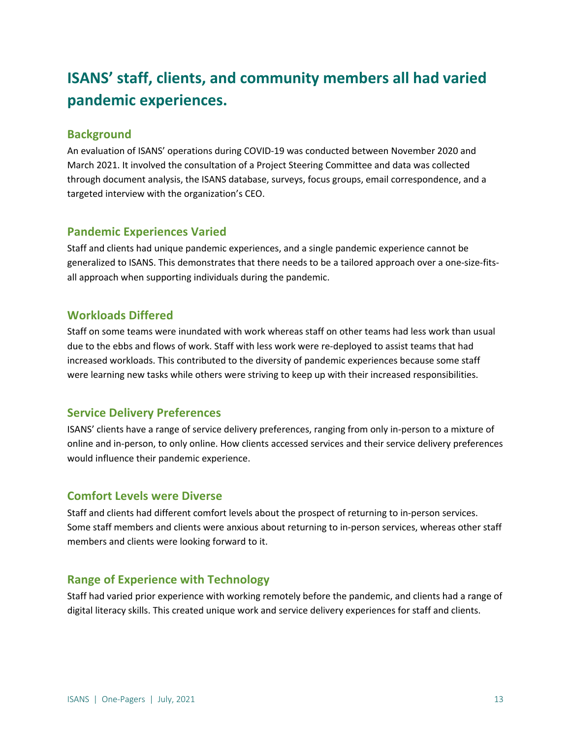# **ISANS' staff, clients, and community members all had varied pandemic experiences.**

## **Background**

An evaluation of ISANS' operations during COVID-19 was conducted between November 2020 and March 2021. It involved the consultation of a Project Steering Committee and data was collected through document analysis, the ISANS database, surveys, focus groups, email correspondence, and a targeted interview with the organization's CEO.

## **Pandemic Experiences Varied**

Staff and clients had unique pandemic experiences, and a single pandemic experience cannot be generalized to ISANS. This demonstrates that there needs to be a tailored approach over a one-size-fitsall approach when supporting individuals during the pandemic.

# **Workloads Differed**

Staff on some teams were inundated with work whereas staff on other teams had less work than usual due to the ebbs and flows of work. Staff with less work were re-deployed to assist teams that had increased workloads. This contributed to the diversity of pandemic experiences because some staff were learning new tasks while others were striving to keep up with their increased responsibilities.

# **Service Delivery Preferences**

ISANS' clients have a range of service delivery preferences, ranging from only in-person to a mixture of online and in-person, to only online. How clients accessed services and their service delivery preferences would influence their pandemic experience.

### **Comfort Levels were Diverse**

Staff and clients had different comfort levels about the prospect of returning to in-person services. Some staff members and clients were anxious about returning to in-person services, whereas other staff members and clients were looking forward to it.

# **Range of Experience with Technology**

Staff had varied prior experience with working remotely before the pandemic, and clients had a range of digital literacy skills. This created unique work and service delivery experiences for staff and clients.